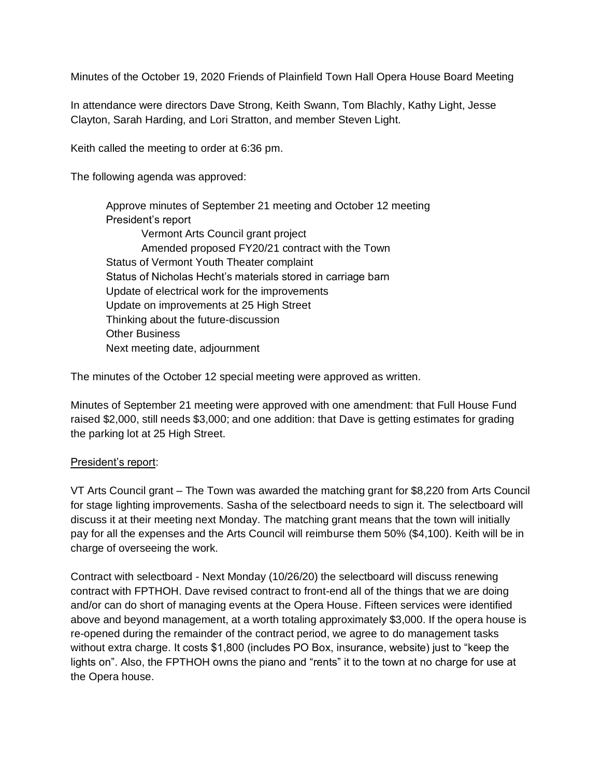Minutes of the October 19, 2020 Friends of Plainfield Town Hall Opera House Board Meeting

In attendance were directors Dave Strong, Keith Swann, Tom Blachly, Kathy Light, Jesse Clayton, Sarah Harding, and Lori Stratton, and member Steven Light.

Keith called the meeting to order at 6:36 pm.

The following agenda was approved:

Approve minutes of September 21 meeting and October 12 meeting President's report Vermont Arts Council grant project Amended proposed FY20/21 contract with the Town Status of Vermont Youth Theater complaint Status of Nicholas Hecht's materials stored in carriage barn Update of electrical work for the improvements Update on improvements at 25 High Street Thinking about the future-discussion Other Business Next meeting date, adjournment

The minutes of the October 12 special meeting were approved as written.

Minutes of September 21 meeting were approved with one amendment: that Full House Fund raised \$2,000, still needs \$3,000; and one addition: that Dave is getting estimates for grading the parking lot at 25 High Street.

## President's report:

VT Arts Council grant – The Town was awarded the matching grant for \$8,220 from Arts Council for stage lighting improvements. Sasha of the selectboard needs to sign it. The selectboard will discuss it at their meeting next Monday. The matching grant means that the town will initially pay for all the expenses and the Arts Council will reimburse them 50% (\$4,100). Keith will be in charge of overseeing the work.

Contract with selectboard - Next Monday (10/26/20) the selectboard will discuss renewing contract with FPTHOH. Dave revised contract to front-end all of the things that we are doing and/or can do short of managing events at the Opera House. Fifteen services were identified above and beyond management, at a worth totaling approximately \$3,000. If the opera house is re-opened during the remainder of the contract period, we agree to do management tasks without extra charge. It costs \$1,800 (includes PO Box, insurance, website) just to "keep the lights on". Also, the FPTHOH owns the piano and "rents" it to the town at no charge for use at the Opera house.